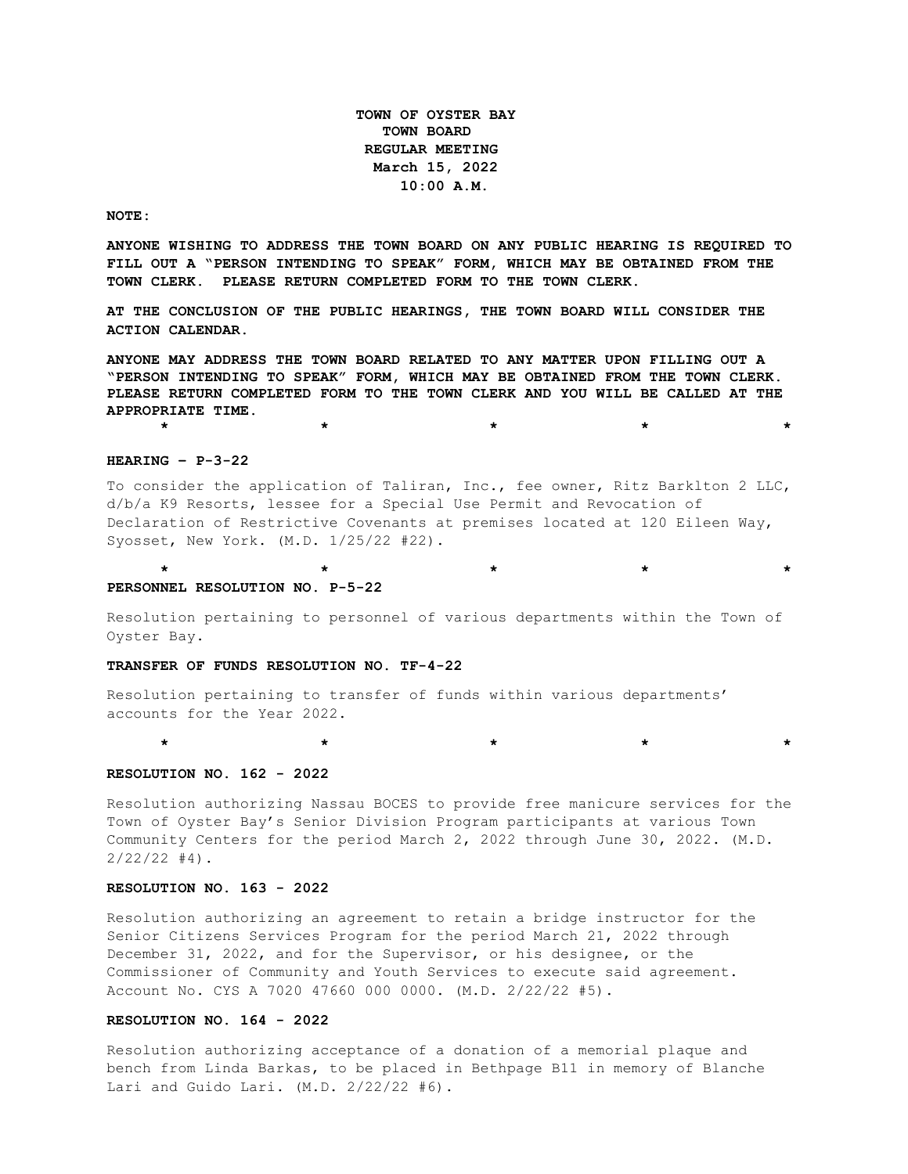**TOWN OF OYSTER BAY TOWN BOARD REGULAR MEETING March 15, 2022 10:00 A.M.** 

#### **NOTE:**

**ANYONE WISHING TO ADDRESS THE TOWN BOARD ON ANY PUBLIC HEARING IS REQUIRED TO FILL OUT A "PERSON INTENDING TO SPEAK" FORM, WHICH MAY BE OBTAINED FROM THE TOWN CLERK. PLEASE RETURN COMPLETED FORM TO THE TOWN CLERK.**

**AT THE CONCLUSION OF THE PUBLIC HEARINGS, THE TOWN BOARD WILL CONSIDER THE ACTION CALENDAR.**

**ANYONE MAY ADDRESS THE TOWN BOARD RELATED TO ANY MATTER UPON FILLING OUT A "PERSON INTENDING TO SPEAK" FORM, WHICH MAY BE OBTAINED FROM THE TOWN CLERK. PLEASE RETURN COMPLETED FORM TO THE TOWN CLERK AND YOU WILL BE CALLED AT THE APPROPRIATE TIME.**

**\* \* \* \* \***

**\* \* \* \* \***

#### **HEARING – P-3-22**

To consider the application of Taliran, Inc., fee owner, Ritz Barklton 2 LLC, d/b/a K9 Resorts, lessee for a Special Use Permit and Revocation of Declaration of Restrictive Covenants at premises located at 120 Eileen Way, Syosset, New York. (M.D. 1/25/22 #22).

#### **PERSONNEL RESOLUTION NO. P-5-22**

Resolution pertaining to personnel of various departments within the Town of Oyster Bay.

#### **TRANSFER OF FUNDS RESOLUTION NO. TF-4-22**

Resolution pertaining to transfer of funds within various departments' accounts for the Year 2022.

 **\* \* \* \* \***

## **RESOLUTION NO. 162 - 2022**

Resolution authorizing Nassau BOCES to provide free manicure services for the Town of Oyster Bay's Senior Division Program participants at various Town Community Centers for the period March 2, 2022 through June 30, 2022. (M.D.  $2/22/22$  #4).

#### **RESOLUTION NO. 163 - 2022**

Resolution authorizing an agreement to retain a bridge instructor for the Senior Citizens Services Program for the period March 21, 2022 through December 31, 2022, and for the Supervisor, or his designee, or the Commissioner of Community and Youth Services to execute said agreement. Account No. CYS A 7020 47660 000 0000. (M.D. 2/22/22 #5).

#### **RESOLUTION NO. 164 - 2022**

Resolution authorizing acceptance of a donation of a memorial plaque and bench from Linda Barkas, to be placed in Bethpage B11 in memory of Blanche Lari and Guido Lari. (M.D. 2/22/22 #6).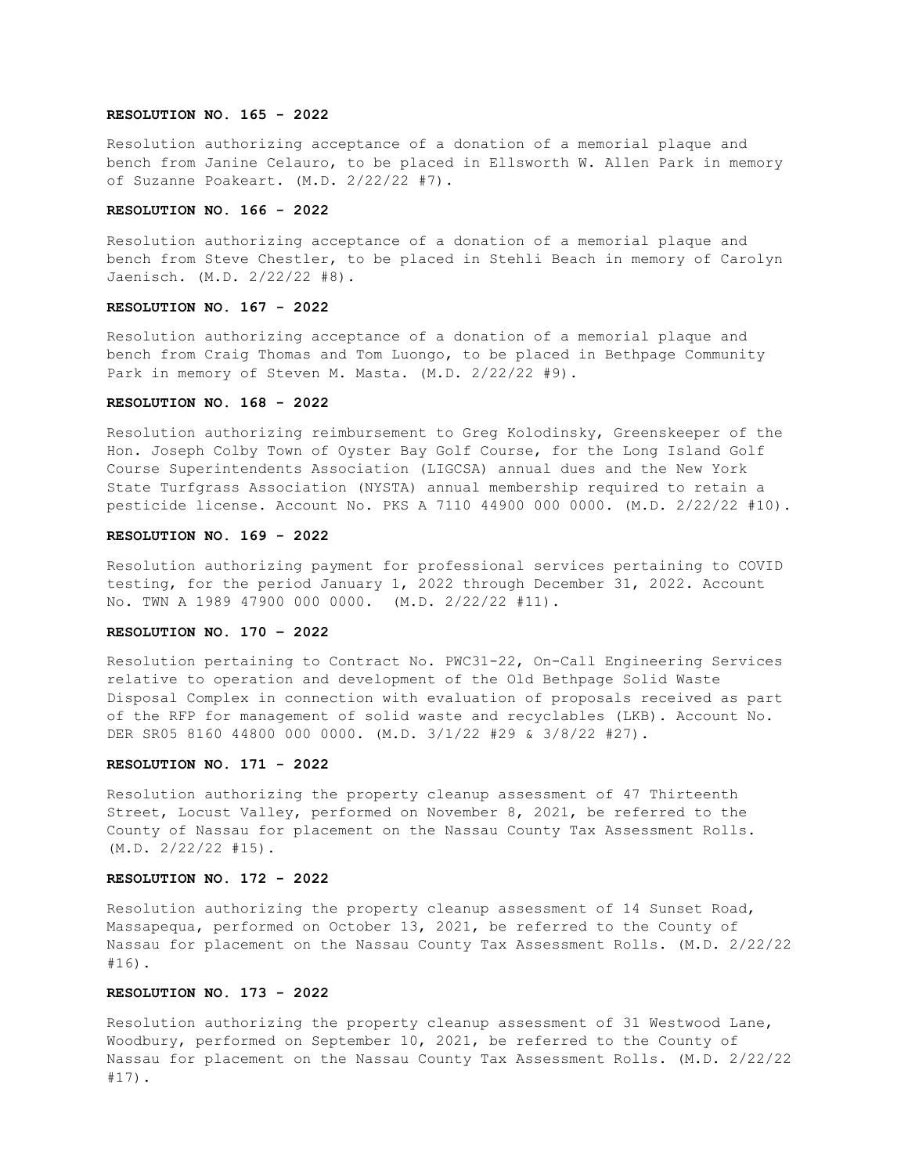### **RESOLUTION NO. 165 - 2022**

Resolution authorizing acceptance of a donation of a memorial plaque and bench from Janine Celauro, to be placed in Ellsworth W. Allen Park in memory of Suzanne Poakeart. (M.D. 2/22/22 #7).

#### **RESOLUTION NO. 166 - 2022**

Resolution authorizing acceptance of a donation of a memorial plaque and bench from Steve Chestler, to be placed in Stehli Beach in memory of Carolyn Jaenisch. (M.D. 2/22/22 #8).

### **RESOLUTION NO. 167 - 2022**

Resolution authorizing acceptance of a donation of a memorial plaque and bench from Craig Thomas and Tom Luongo, to be placed in Bethpage Community Park in memory of Steven M. Masta. (M.D. 2/22/22 #9).

#### **RESOLUTION NO. 168 - 2022**

Resolution authorizing reimbursement to Greg Kolodinsky, Greenskeeper of the Hon. Joseph Colby Town of Oyster Bay Golf Course, for the Long Island Golf Course Superintendents Association (LIGCSA) annual dues and the New York State Turfgrass Association (NYSTA) annual membership required to retain a pesticide license. Account No. PKS A 7110 44900 000 0000. (M.D. 2/22/22 #10).

## **RESOLUTION NO. 169 - 2022**

Resolution authorizing payment for professional services pertaining to COVID testing, for the period January 1, 2022 through December 31, 2022. Account No. TWN A 1989 47900 000 0000. (M.D. 2/22/22 #11).

### **RESOLUTION NO. 170 – 2022**

Resolution pertaining to Contract No. PWC31-22, On-Call Engineering Services relative to operation and development of the Old Bethpage Solid Waste Disposal Complex in connection with evaluation of proposals received as part of the RFP for management of solid waste and recyclables (LKB). Account No. DER SR05 8160 44800 000 0000. (M.D. 3/1/22 #29 & 3/8/22 #27).

### **RESOLUTION NO. 171 - 2022**

Resolution authorizing the property cleanup assessment of 47 Thirteenth Street, Locust Valley, performed on November 8, 2021, be referred to the County of Nassau for placement on the Nassau County Tax Assessment Rolls. (M.D. 2/22/22 #15).

### **RESOLUTION NO. 172 - 2022**

Resolution authorizing the property cleanup assessment of 14 Sunset Road, Massapequa, performed on October 13, 2021, be referred to the County of Nassau for placement on the Nassau County Tax Assessment Rolls. (M.D. 2/22/22 #16).

### **RESOLUTION NO. 173 - 2022**

Resolution authorizing the property cleanup assessment of 31 Westwood Lane, Woodbury, performed on September 10, 2021, be referred to the County of Nassau for placement on the Nassau County Tax Assessment Rolls. (M.D. 2/22/22 #17).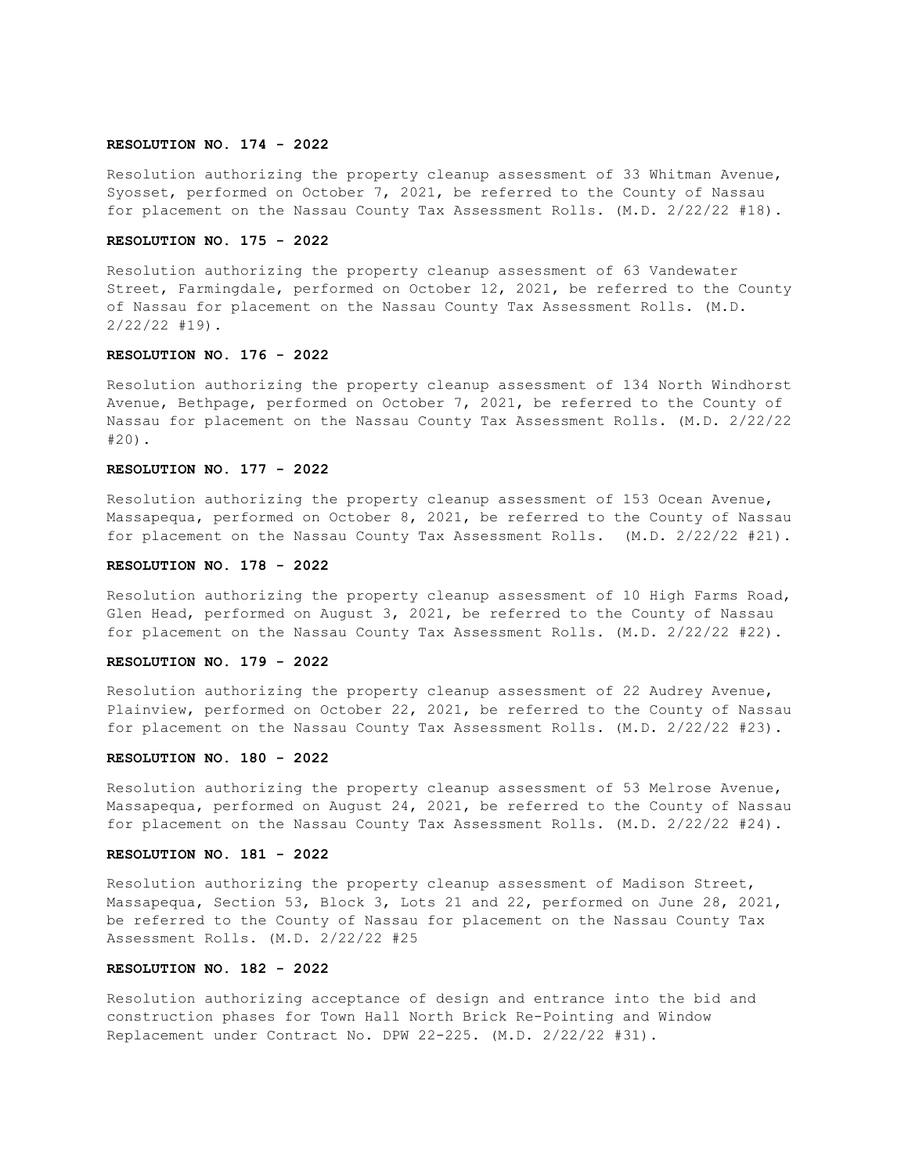### **RESOLUTION NO. 174 - 2022**

Resolution authorizing the property cleanup assessment of 33 Whitman Avenue, Syosset, performed on October 7, 2021, be referred to the County of Nassau for placement on the Nassau County Tax Assessment Rolls. (M.D. 2/22/22 #18).

### **RESOLUTION NO. 175 - 2022**

Resolution authorizing the property cleanup assessment of 63 Vandewater Street, Farmingdale, performed on October 12, 2021, be referred to the County of Nassau for placement on the Nassau County Tax Assessment Rolls. (M.D. 2/22/22 #19).

## **RESOLUTION NO. 176 - 2022**

Resolution authorizing the property cleanup assessment of 134 North Windhorst Avenue, Bethpage, performed on October 7, 2021, be referred to the County of Nassau for placement on the Nassau County Tax Assessment Rolls. (M.D. 2/22/22 #20).

### **RESOLUTION NO. 177 - 2022**

Resolution authorizing the property cleanup assessment of 153 Ocean Avenue, Massapequa, performed on October 8, 2021, be referred to the County of Nassau for placement on the Nassau County Tax Assessment Rolls. (M.D. 2/22/22 #21).

### **RESOLUTION NO. 178 - 2022**

Resolution authorizing the property cleanup assessment of 10 High Farms Road, Glen Head, performed on August 3, 2021, be referred to the County of Nassau for placement on the Nassau County Tax Assessment Rolls. (M.D. 2/22/22 #22).

### **RESOLUTION NO. 179 - 2022**

Resolution authorizing the property cleanup assessment of 22 Audrey Avenue, Plainview, performed on October 22, 2021, be referred to the County of Nassau for placement on the Nassau County Tax Assessment Rolls. (M.D. 2/22/22 #23).

### **RESOLUTION NO. 180 - 2022**

Resolution authorizing the property cleanup assessment of 53 Melrose Avenue, Massapequa, performed on August 24, 2021, be referred to the County of Nassau for placement on the Nassau County Tax Assessment Rolls. (M.D. 2/22/22 #24).

### **RESOLUTION NO. 181 - 2022**

Resolution authorizing the property cleanup assessment of Madison Street, Massapequa, Section 53, Block 3, Lots 21 and 22, performed on June 28, 2021, be referred to the County of Nassau for placement on the Nassau County Tax Assessment Rolls. (M.D. 2/22/22 #25

### **RESOLUTION NO. 182 - 2022**

Resolution authorizing acceptance of design and entrance into the bid and construction phases for Town Hall North Brick Re-Pointing and Window Replacement under Contract No. DPW 22-225. (M.D. 2/22/22 #31).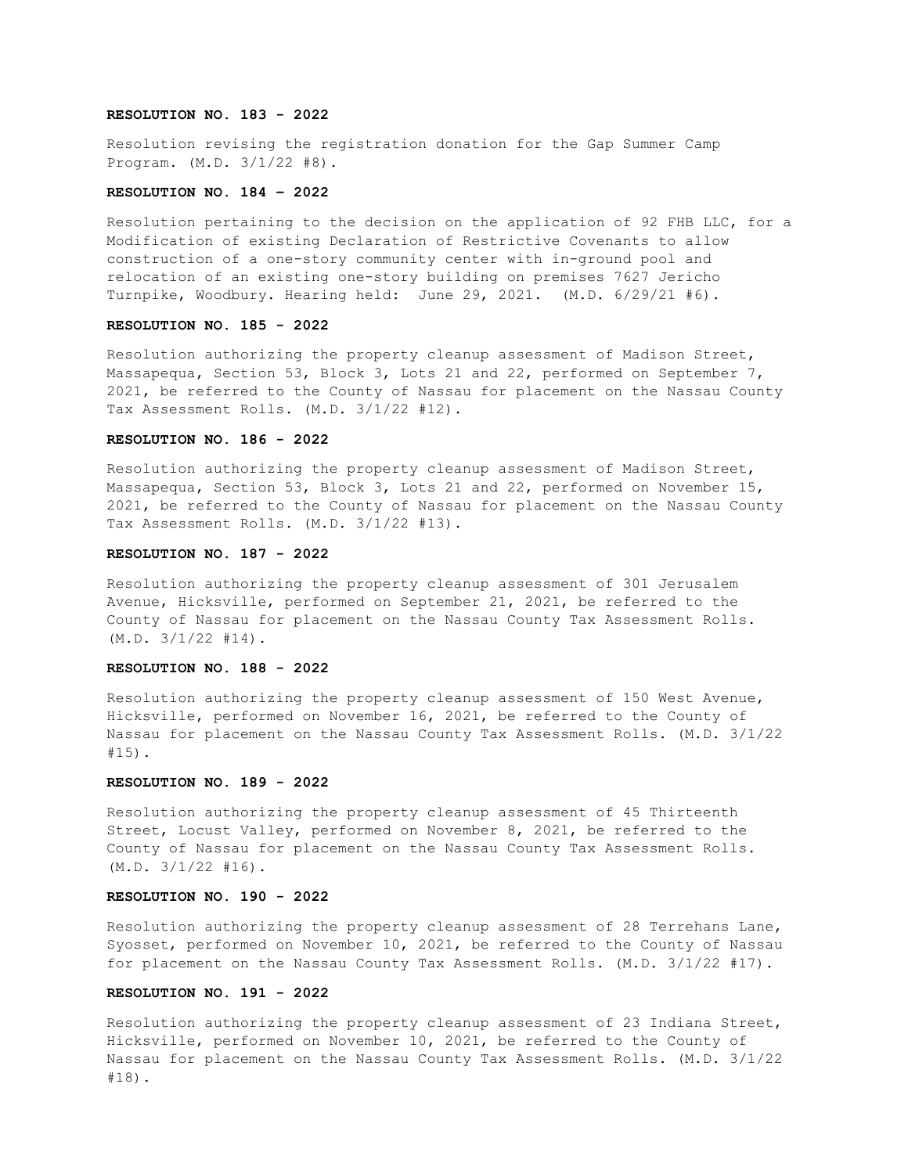### **RESOLUTION NO. 183 - 2022**

Resolution revising the registration donation for the Gap Summer Camp Program. (M.D. 3/1/22 #8).

### **RESOLUTION NO. 184 – 2022**

Resolution pertaining to the decision on the application of 92 FHB LLC, for a Modification of existing Declaration of Restrictive Covenants to allow construction of a one-story community center with in-ground pool and relocation of an existing one-story building on premises 7627 Jericho Turnpike, Woodbury. Hearing held: June 29, 2021. (M.D. 6/29/21 #6).

## **RESOLUTION NO. 185 - 2022**

Resolution authorizing the property cleanup assessment of Madison Street, Massapequa, Section 53, Block 3, Lots 21 and 22, performed on September 7, 2021, be referred to the County of Nassau for placement on the Nassau County Tax Assessment Rolls. (M.D. 3/1/22 #12).

# **RESOLUTION NO. 186 - 2022**

Resolution authorizing the property cleanup assessment of Madison Street, Massapequa, Section 53, Block 3, Lots 21 and 22, performed on November 15, 2021, be referred to the County of Nassau for placement on the Nassau County Tax Assessment Rolls. (M.D. 3/1/22 #13).

## **RESOLUTION NO. 187 - 2022**

Resolution authorizing the property cleanup assessment of 301 Jerusalem Avenue, Hicksville, performed on September 21, 2021, be referred to the County of Nassau for placement on the Nassau County Tax Assessment Rolls.  $(M.D. 3/1/22 #14)$ .

#### **RESOLUTION NO. 188 - 2022**

Resolution authorizing the property cleanup assessment of 150 West Avenue, Hicksville, performed on November 16, 2021, be referred to the County of Nassau for placement on the Nassau County Tax Assessment Rolls. (M.D. 3/1/22 #15).

### **RESOLUTION NO. 189 - 2022**

Resolution authorizing the property cleanup assessment of 45 Thirteenth Street, Locust Valley, performed on November 8, 2021, be referred to the County of Nassau for placement on the Nassau County Tax Assessment Rolls. (M.D. 3/1/22 #16).

### **RESOLUTION NO. 190 - 2022**

Resolution authorizing the property cleanup assessment of 28 Terrehans Lane, Syosset, performed on November 10, 2021, be referred to the County of Nassau for placement on the Nassau County Tax Assessment Rolls. (M.D. 3/1/22 #17).

### **RESOLUTION NO. 191 - 2022**

Resolution authorizing the property cleanup assessment of 23 Indiana Street, Hicksville, performed on November 10, 2021, be referred to the County of Nassau for placement on the Nassau County Tax Assessment Rolls. (M.D. 3/1/22 #18).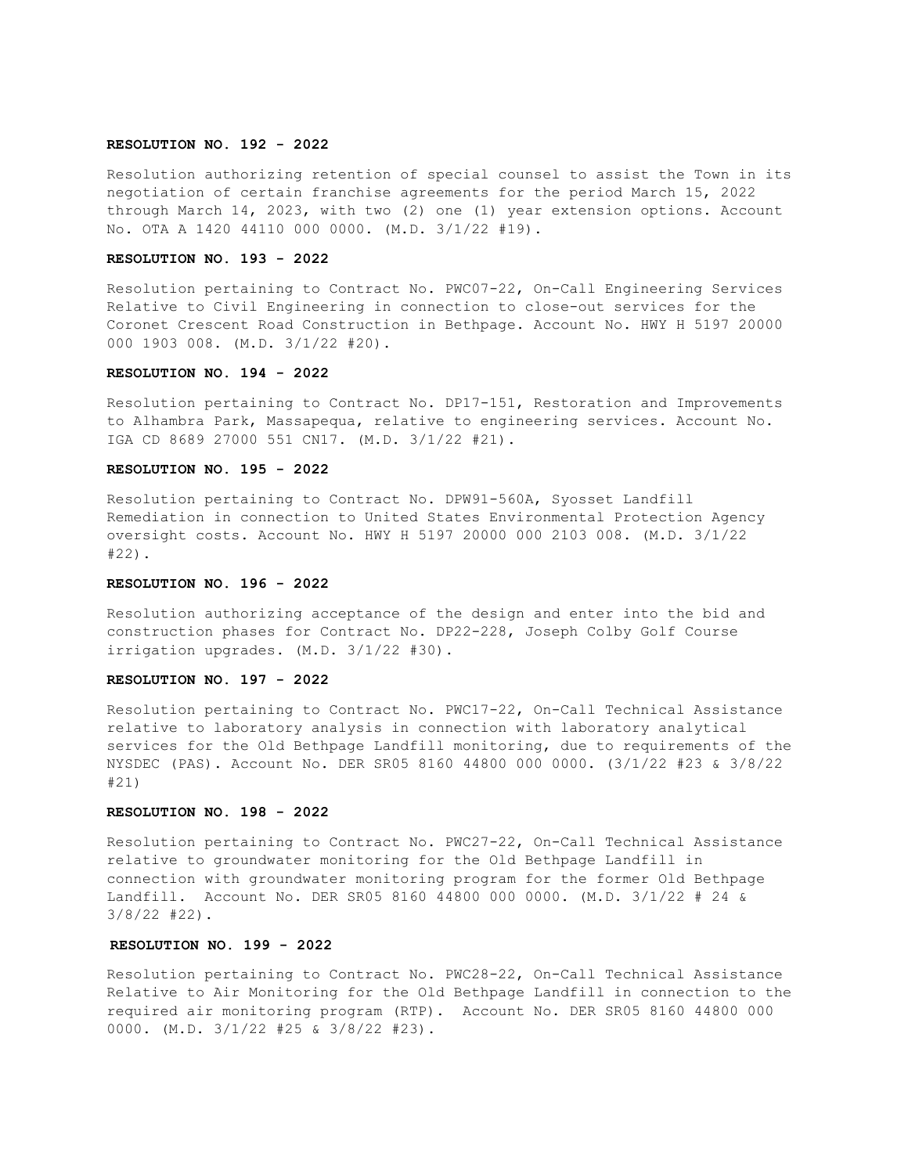### **RESOLUTION NO. 192 - 2022**

Resolution authorizing retention of special counsel to assist the Town in its negotiation of certain franchise agreements for the period March 15, 2022 through March 14, 2023, with two (2) one (1) year extension options. Account No. OTA A 1420 44110 000 0000. (M.D. 3/1/22 #19).

### **RESOLUTION NO. 193 - 2022**

Resolution pertaining to Contract No. PWC07-22, On-Call Engineering Services Relative to Civil Engineering in connection to close-out services for the Coronet Crescent Road Construction in Bethpage. Account No. HWY H 5197 20000 000 1903 008. (M.D. 3/1/22 #20).

## **RESOLUTION NO. 194 - 2022**

Resolution pertaining to Contract No. DP17-151, Restoration and Improvements to Alhambra Park, Massapequa, relative to engineering services. Account No. IGA CD 8689 27000 551 CN17. (M.D. 3/1/22 #21).

### **RESOLUTION NO. 195 - 2022**

Resolution pertaining to Contract No. DPW91-560A, Syosset Landfill Remediation in connection to United States Environmental Protection Agency oversight costs. Account No. HWY H 5197 20000 000 2103 008. (M.D. 3/1/22 #22).

## **RESOLUTION NO. 196 - 2022**

Resolution authorizing acceptance of the design and enter into the bid and construction phases for Contract No. DP22-228, Joseph Colby Golf Course irrigation upgrades. (M.D. 3/1/22 #30).

### **RESOLUTION NO. 197 - 2022**

Resolution pertaining to Contract No. PWC17-22, On-Call Technical Assistance relative to laboratory analysis in connection with laboratory analytical services for the Old Bethpage Landfill monitoring, due to requirements of the NYSDEC (PAS). Account No. DER SR05 8160 44800 000 0000. (3/1/22 #23 & 3/8/22 #21)

### **RESOLUTION NO. 198 - 2022**

Resolution pertaining to Contract No. PWC27-22, On-Call Technical Assistance relative to groundwater monitoring for the Old Bethpage Landfill in connection with groundwater monitoring program for the former Old Bethpage Landfill. Account No. DER SR05 8160 44800 000 0000. (M.D. 3/1/22 # 24 & 3/8/22 #22).

# **RESOLUTION NO. 199 - 2022**

Resolution pertaining to Contract No. PWC28-22, On-Call Technical Assistance Relative to Air Monitoring for the Old Bethpage Landfill in connection to the required air monitoring program (RTP). Account No. DER SR05 8160 44800 000 0000. (M.D. 3/1/22 #25 & 3/8/22 #23).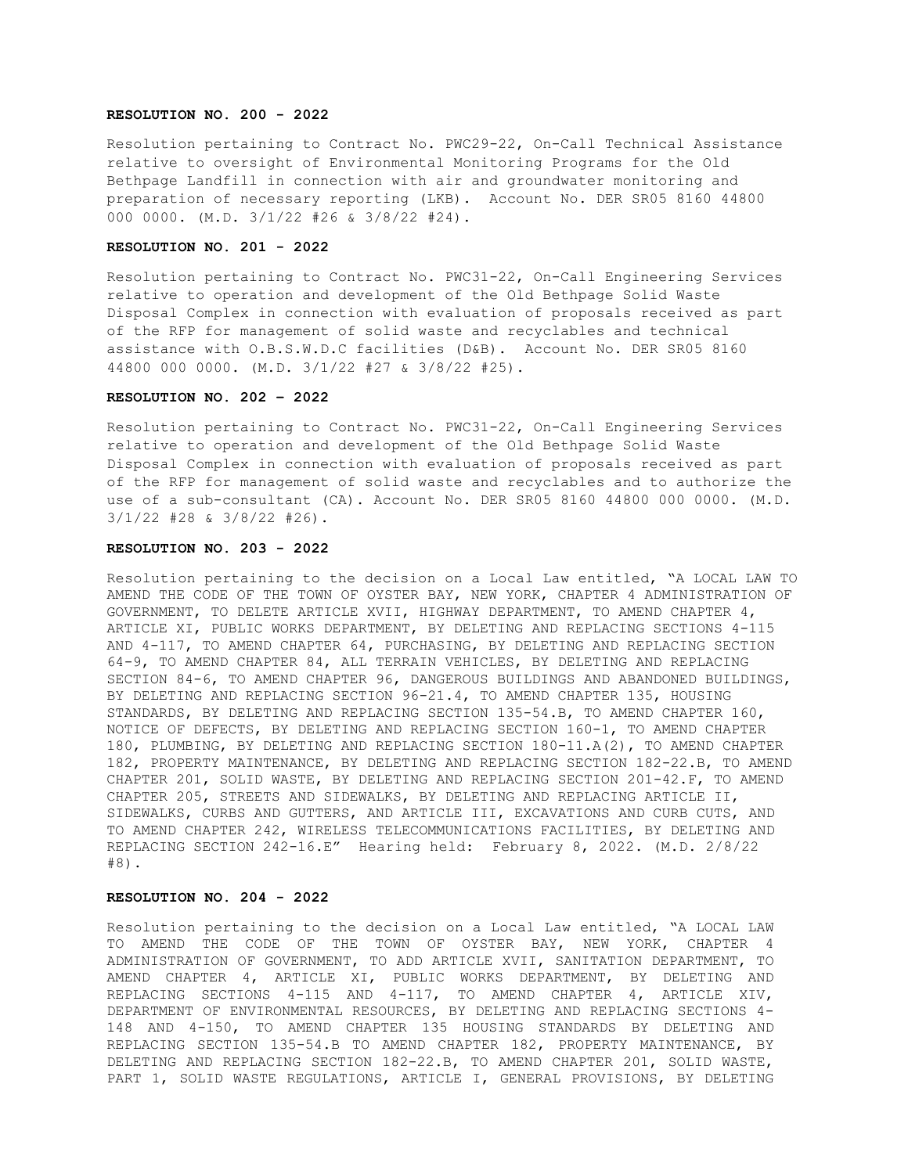### **RESOLUTION NO. 200 - 2022**

Resolution pertaining to Contract No. PWC29-22, On-Call Technical Assistance relative to oversight of Environmental Monitoring Programs for the Old Bethpage Landfill in connection with air and groundwater monitoring and preparation of necessary reporting (LKB). Account No. DER SR05 8160 44800 000 0000. (M.D. 3/1/22 #26 & 3/8/22 #24).

### **RESOLUTION NO. 201 - 2022**

Resolution pertaining to Contract No. PWC31-22, On-Call Engineering Services relative to operation and development of the Old Bethpage Solid Waste Disposal Complex in connection with evaluation of proposals received as part of the RFP for management of solid waste and recyclables and technical assistance with O.B.S.W.D.C facilities (D&B). Account No. DER SR05 8160 44800 000 0000. (M.D. 3/1/22 #27 & 3/8/22 #25).

#### **RESOLUTION NO. 202 – 2022**

Resolution pertaining to Contract No. PWC31-22, On-Call Engineering Services relative to operation and development of the Old Bethpage Solid Waste Disposal Complex in connection with evaluation of proposals received as part of the RFP for management of solid waste and recyclables and to authorize the use of a sub-consultant (CA). Account No. DER SR05 8160 44800 000 0000. (M.D. 3/1/22 #28 & 3/8/22 #26).

### **RESOLUTION NO. 203 - 2022**

Resolution pertaining to the decision on a Local Law entitled, "A LOCAL LAW TO AMEND THE CODE OF THE TOWN OF OYSTER BAY, NEW YORK, CHAPTER 4 ADMINISTRATION OF GOVERNMENT, TO DELETE ARTICLE XVII, HIGHWAY DEPARTMENT, TO AMEND CHAPTER 4, ARTICLE XI, PUBLIC WORKS DEPARTMENT, BY DELETING AND REPLACING SECTIONS 4-115 AND 4-117, TO AMEND CHAPTER 64, PURCHASING, BY DELETING AND REPLACING SECTION 64-9, TO AMEND CHAPTER 84, ALL TERRAIN VEHICLES, BY DELETING AND REPLACING SECTION 84-6, TO AMEND CHAPTER 96, DANGEROUS BUILDINGS AND ABANDONED BUILDINGS, BY DELETING AND REPLACING SECTION 96-21.4, TO AMEND CHAPTER 135, HOUSING STANDARDS, BY DELETING AND REPLACING SECTION 135-54.B, TO AMEND CHAPTER 160, NOTICE OF DEFECTS, BY DELETING AND REPLACING SECTION 160-1, TO AMEND CHAPTER 180, PLUMBING, BY DELETING AND REPLACING SECTION 180-11.A(2), TO AMEND CHAPTER 182, PROPERTY MAINTENANCE, BY DELETING AND REPLACING SECTION 182-22.B, TO AMEND CHAPTER 201, SOLID WASTE, BY DELETING AND REPLACING SECTION 201-42.F, TO AMEND CHAPTER 205, STREETS AND SIDEWALKS, BY DELETING AND REPLACING ARTICLE II, SIDEWALKS, CURBS AND GUTTERS, AND ARTICLE III, EXCAVATIONS AND CURB CUTS, AND TO AMEND CHAPTER 242, WIRELESS TELECOMMUNICATIONS FACILITIES, BY DELETING AND REPLACING SECTION 242-16.E" Hearing held: February 8, 2022. (M.D. 2/8/22 #8).

# **RESOLUTION NO. 204 - 2022**

Resolution pertaining to the decision on a Local Law entitled, "A LOCAL LAW TO AMEND THE CODE OF THE TOWN OF OYSTER BAY, NEW YORK, CHAPTER 4 ADMINISTRATION OF GOVERNMENT, TO ADD ARTICLE XVII, SANITATION DEPARTMENT, TO AMEND CHAPTER 4, ARTICLE XI, PUBLIC WORKS DEPARTMENT, BY DELETING AND REPLACING SECTIONS 4-115 AND 4-117, TO AMEND CHAPTER 4, ARTICLE XIV, DEPARTMENT OF ENVIRONMENTAL RESOURCES, BY DELETING AND REPLACING SECTIONS 4- 148 AND 4-150, TO AMEND CHAPTER 135 HOUSING STANDARDS BY DELETING AND REPLACING SECTION 135-54.B TO AMEND CHAPTER 182, PROPERTY MAINTENANCE, BY DELETING AND REPLACING SECTION 182-22.B, TO AMEND CHAPTER 201, SOLID WASTE, PART 1, SOLID WASTE REGULATIONS, ARTICLE I, GENERAL PROVISIONS, BY DELETING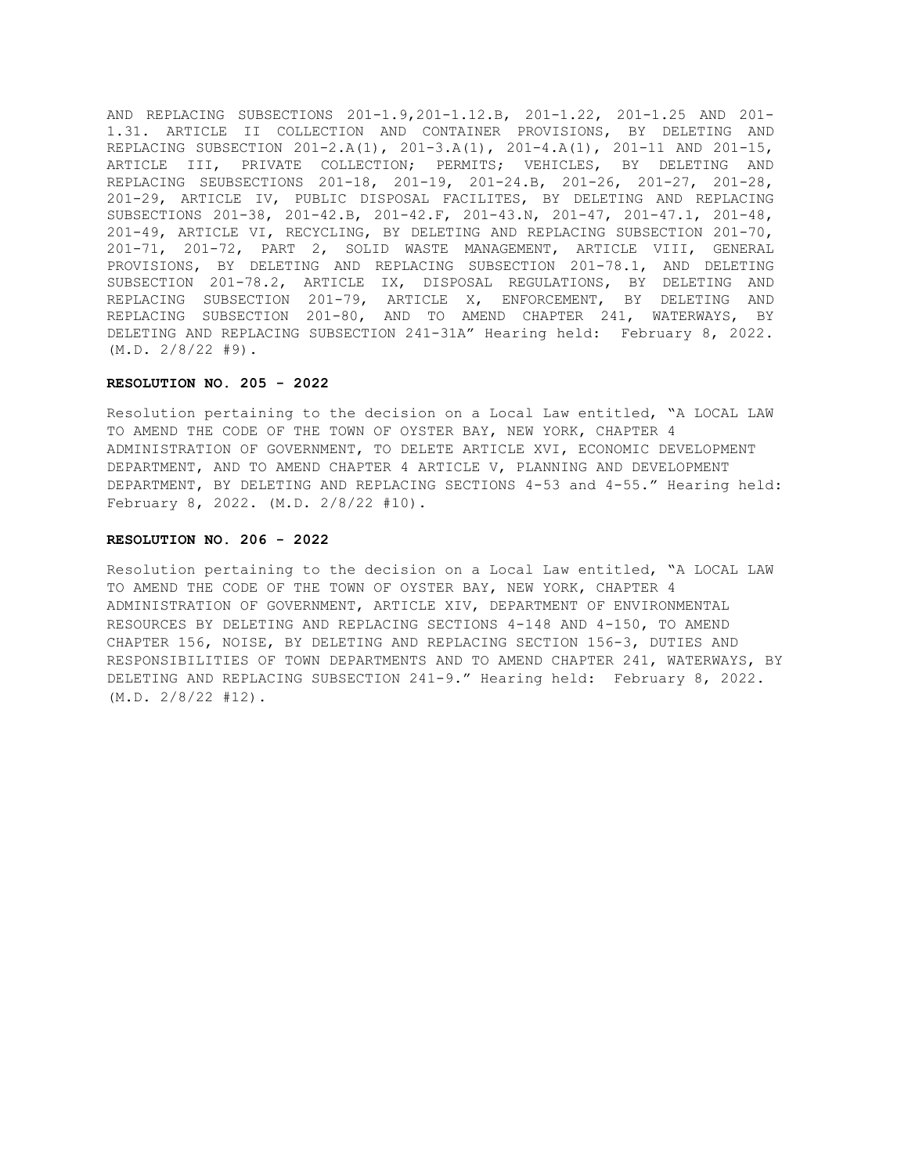AND REPLACING SUBSECTIONS 201-1.9,201-1.12.B, 201-1.22, 201-1.25 AND 201- 1.31. ARTICLE II COLLECTION AND CONTAINER PROVISIONS, BY DELETING AND REPLACING SUBSECTION 201-2.A(1), 201-3.A(1), 201-4.A(1), 201-11 AND 201-15, ARTICLE III, PRIVATE COLLECTION; PERMITS; VEHICLES, BY DELETING AND REPLACING SEUBSECTIONS 201-18, 201-19, 201-24.B, 201-26, 201-27, 201-28, 201-29, ARTICLE IV, PUBLIC DISPOSAL FACILITES, BY DELETING AND REPLACING SUBSECTIONS 201-38, 201-42.B, 201-42.F, 201-43.N, 201-47, 201-47.1, 201-48, 201-49, ARTICLE VI, RECYCLING, BY DELETING AND REPLACING SUBSECTION 201-70, 201-71, 201-72, PART 2, SOLID WASTE MANAGEMENT, ARTICLE VIII, GENERAL PROVISIONS, BY DELETING AND REPLACING SUBSECTION 201-78.1, AND DELETING SUBSECTION 201-78.2, ARTICLE IX, DISPOSAL REGULATIONS, BY DELETING AND REPLACING SUBSECTION 201-79, ARTICLE X, ENFORCEMENT, BY DELETING AND REPLACING SUBSECTION 201-80, AND TO AMEND CHAPTER 241, WATERWAYS, BY DELETING AND REPLACING SUBSECTION 241-31A" Hearing held: February 8, 2022. (M.D. 2/8/22 #9).

## **RESOLUTION NO. 205 - 2022**

Resolution pertaining to the decision on a Local Law entitled, "A LOCAL LAW TO AMEND THE CODE OF THE TOWN OF OYSTER BAY, NEW YORK, CHAPTER 4 ADMINISTRATION OF GOVERNMENT, TO DELETE ARTICLE XVI, ECONOMIC DEVELOPMENT DEPARTMENT, AND TO AMEND CHAPTER 4 ARTICLE V, PLANNING AND DEVELOPMENT DEPARTMENT, BY DELETING AND REPLACING SECTIONS 4-53 and 4-55." Hearing held: February 8, 2022. (M.D. 2/8/22 #10).

### **RESOLUTION NO. 206 - 2022**

Resolution pertaining to the decision on a Local Law entitled, "A LOCAL LAW TO AMEND THE CODE OF THE TOWN OF OYSTER BAY, NEW YORK, CHAPTER 4 ADMINISTRATION OF GOVERNMENT, ARTICLE XIV, DEPARTMENT OF ENVIRONMENTAL RESOURCES BY DELETING AND REPLACING SECTIONS 4-148 AND 4-150, TO AMEND CHAPTER 156, NOISE, BY DELETING AND REPLACING SECTION 156-3, DUTIES AND RESPONSIBILITIES OF TOWN DEPARTMENTS AND TO AMEND CHAPTER 241, WATERWAYS, BY DELETING AND REPLACING SUBSECTION 241-9." Hearing held: February 8, 2022. (M.D. 2/8/22 #12).